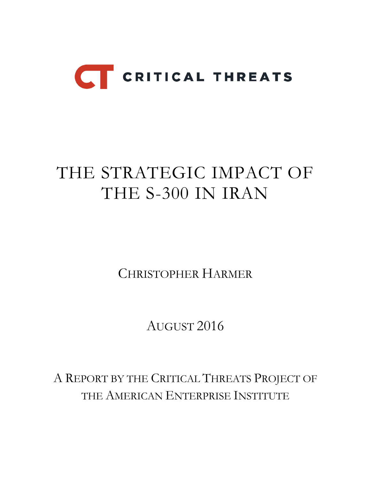

# THE STRATEGIC IMPACT OF THE S-300 IN IRAN

CHRISTOPHER HARMER

AUGUST 2016

A REPORT BY THE CRITICAL THREATS PROJECT OF THE AMERICAN ENTERPRISE INSTITUTE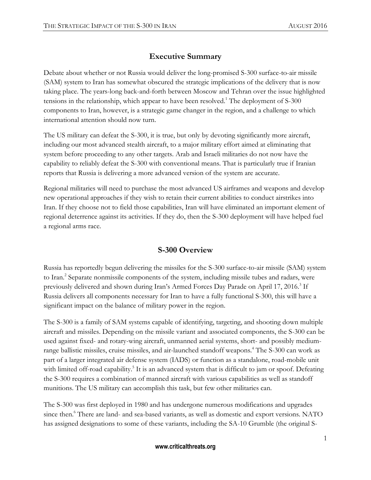# **Executive Summary**

Debate about whether or not Russia would deliver the long-promised S-300 surface-to-air missile (SAM) system to Iran has somewhat obscured the strategic implications of the delivery that is now taking place. The years-long back-and-forth between Moscow and Tehran over the issue highlighted tensions in the relationship, which appear to have been resolved.<sup>1</sup> The deployment of S-300 components to Iran, however, is a strategic game changer in the region, and a challenge to which international attention should now turn.

The US military can defeat the S-300, it is true, but only by devoting significantly more aircraft, including our most advanced stealth aircraft, to a major military effort aimed at eliminating that system before proceeding to any other targets. Arab and Israeli militaries do not now have the capability to reliably defeat the S-300 with conventional means. That is particularly true if Iranian reports that Russia is delivering a more advanced version of the system are accurate.

Regional militaries will need to purchase the most advanced US airframes and weapons and develop new operational approaches if they wish to retain their current abilities to conduct airstrikes into Iran. If they choose not to field those capabilities, Iran will have eliminated an important element of regional deterrence against its activities. If they do, then the S-300 deployment will have helped fuel a regional arms race.

## **S-300 Overview**

Russia has reportedly begun delivering the missiles for the S-300 surface-to-air missile (SAM) system to Iran.<sup>2</sup> Separate nonmissile components of the system, including missile tubes and radars, were previously delivered and shown during Iran's Armed Forces Day Parade on April 17, 2016.<sup>3</sup> If Russia delivers all components necessary for Iran to have a fully functional S-300, this will have a significant impact on the balance of military power in the region.

The S-300 is a family of SAM systems capable of identifying, targeting, and shooting down multiple aircraft and missiles. Depending on the missile variant and associated components, the S-300 can be used against fixed- and rotary-wing aircraft, unmanned aerial systems, short- and possibly mediumrange ballistic missiles, cruise missiles, and air-launched standoff weapons.<sup>4</sup> The S-300 can work as part of a larger integrated air defense system (IADS) or function as a standalone, road-mobile unit with limited off-road capability.<sup>5</sup> It is an advanced system that is difficult to jam or spoof. Defeating the S-300 requires a combination of manned aircraft with various capabilities as well as standoff munitions. The US military can accomplish this task, but few other militaries can.

The S-300 was first deployed in 1980 and has undergone numerous modifications and upgrades since then.<sup>6</sup> There are land- and sea-based variants, as well as domestic and export versions. NATO has assigned designations to some of these variants, including the SA-10 Grumble (the original S-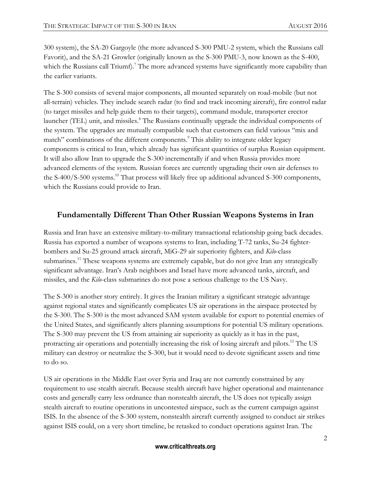300 system), the SA-20 Gargoyle (the more advanced S-300 PMU-2 system, which the Russians call Favorit), and the SA-21 Growler (originally known as the S-300 PMU-3, now known as the S-400, which the Russians call Triumf).<sup>7</sup> The more advanced systems have significantly more capability than the earlier variants.

The S-300 consists of several major components, all mounted separately on road-mobile (but not all-terrain) vehicles. They include search radar (to find and track incoming aircraft), fire control radar (to target missiles and help guide them to their targets), command module, transporter erector launcher (TEL) unit, and missiles.<sup>8</sup> The Russians continually upgrade the individual components of the system. The upgrades are mutually compatible such that customers can field various "mix and match" combinations of the different components.<sup>9</sup> This ability to integrate older legacy components is critical to Iran, which already has significant quantities of surplus Russian equipment. It will also allow Iran to upgrade the S-300 incrementally if and when Russia provides more advanced elements of the system. Russian forces are currently upgrading their own air defenses to the S-400/S-500 systems.<sup>10</sup> That process will likely free up additional advanced S-300 components, which the Russians could provide to Iran.

#### **Fundamentally Different Than Other Russian Weapons Systems in Iran**

Russia and Iran have an extensive military-to-military transactional relationship going back decades. Russia has exported a number of weapons systems to Iran, including T-72 tanks, Su-24 fighterbombers and Su-25 ground attack aircraft, MiG-29 air superiority fighters, and *Kilo*-class submarines.<sup>11</sup> These weapons systems are extremely capable, but do not give Iran any strategically significant advantage. Iran's Arab neighbors and Israel have more advanced tanks, aircraft, and missiles, and the *Kilo*-class submarines do not pose a serious challenge to the US Navy.

The S-300 is another story entirely. It gives the Iranian military a significant strategic advantage against regional states and significantly complicates US air operations in the airspace protected by the S-300. The S-300 is the most advanced SAM system available for export to potential enemies of the United States, and significantly alters planning assumptions for potential US military operations. The S-300 may prevent the US from attaining air superiority as quickly as it has in the past, protracting air operations and potentially increasing the risk of losing aircraft and pilots.<sup>12</sup> The US military can destroy or neutralize the S-300, but it would need to devote significant assets and time to do so.

US air operations in the Middle East over Syria and Iraq are not currently constrained by any requirement to use stealth aircraft. Because stealth aircraft have higher operational and maintenance costs and generally carry less ordnance than nonstealth aircraft, the US does not typically assign stealth aircraft to routine operations in uncontested airspace, such as the current campaign against ISIS. In the absence of the S-300 system, nonstealth aircraft currently assigned to conduct air strikes against ISIS could, on a very short timeline, be retasked to conduct operations against Iran. The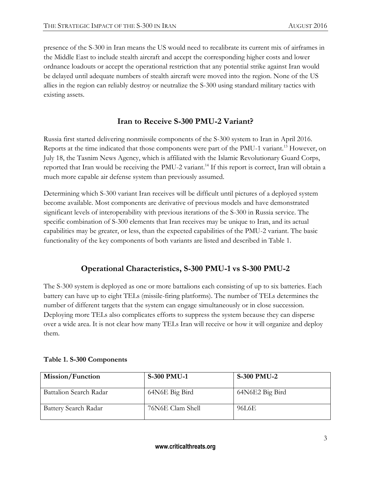presence of the S-300 in Iran means the US would need to recalibrate its current mix of airframes in the Middle East to include stealth aircraft and accept the corresponding higher costs and lower ordnance loadouts or accept the operational restriction that any potential strike against Iran would be delayed until adequate numbers of stealth aircraft were moved into the region. None of the US allies in the region can reliably destroy or neutralize the S-300 using standard military tactics with existing assets.

## **Iran to Receive S-300 PMU-2 Variant?**

Russia first started delivering nonmissile components of the S-300 system to Iran in April 2016. Reports at the time indicated that those components were part of the PMU-1 variant.<sup>13</sup> However, on July 18, the Tasnim News Agency, which is affiliated with the Islamic Revolutionary Guard Corps, reported that Iran would be receiving the PMU-2 variant.<sup>14</sup> If this report is correct, Iran will obtain a much more capable air defense system than previously assumed.

Determining which S-300 variant Iran receives will be difficult until pictures of a deployed system become available. Most components are derivative of previous models and have demonstrated significant levels of interoperability with previous iterations of the S-300 in Russia service. The specific combination of S-300 elements that Iran receives may be unique to Iran, and its actual capabilities may be greater, or less, than the expected capabilities of the PMU-2 variant. The basic functionality of the key components of both variants are listed and described in Table 1.

# **Operational Characteristics, S-300 PMU-1 vs S-300 PMU-2**

The S-300 system is deployed as one or more battalions each consisting of up to six batteries. Each battery can have up to eight TELs (missile-firing platforms). The number of TELs determines the number of different targets that the system can engage simultaneously or in close succession. Deploying more TELs also complicates efforts to suppress the system because they can disperse over a wide area. It is not clear how many TELs Iran will receive or how it will organize and deploy them.

| Mission/Function            | <b>S-300 PMU-1</b> | <b>S-300 PMU-2</b> |
|-----------------------------|--------------------|--------------------|
|                             |                    |                    |
| Battalion Search Radar      | 64N6E Big Bird     | 64N6E2 Big Bird    |
| <b>Battery Search Radar</b> | 76N6E Clam Shell   | 96L6E              |

#### **Table 1. S-300 Components**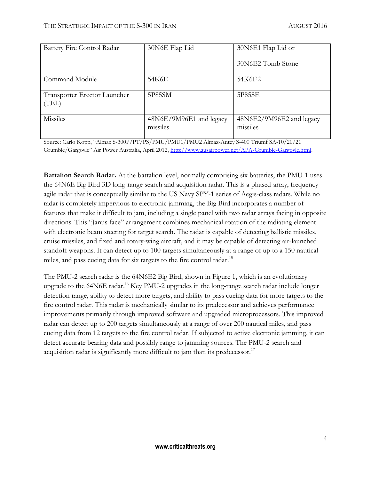| Battery Fire Control Radar            | 30N6E Flap Lid                      | 30N6E1 Flap Lid or                   |
|---------------------------------------|-------------------------------------|--------------------------------------|
|                                       |                                     | 30N6E2 Tomb Stone                    |
| Command Module                        | 54K6E                               | 54K6E2                               |
| Transporter Erector Launcher<br>(TEL) | 5P85SM                              | 5P85SE                               |
| Missiles                              | 48N6E/9M96E1 and legacy<br>missiles | 48N6E2/9M96E2 and legacy<br>missiles |

Source: Carlo Kopp, "Almaz S-300P/PT/PS/PMU/PMU1/PMU2 Almaz-Antey S-400 Triumf SA-10/20/21 Grumble/Gargoyle" Air Power Australia, April 2012, [http://www.ausairpower.net/APA-Grumble-Gargoyle.html.](http://www.ausairpower.net/APA-Grumble-Gargoyle.html)

**Battalion Search Radar.** At the battalion level, normally comprising six batteries, the PMU-1 uses the 64N6E Big Bird 3D long-range search and acquisition radar. This is a phased-array, frequency agile radar that is conceptually similar to the US Navy SPY-1 series of Aegis-class radars. While no radar is completely impervious to electronic jamming, the Big Bird incorporates a number of features that make it difficult to jam, including a single panel with two radar arrays facing in opposite directions. This "Janus face" arrangement combines mechanical rotation of the radiating element with electronic beam steering for target search. The radar is capable of detecting ballistic missiles, cruise missiles, and fixed and rotary-wing aircraft, and it may be capable of detecting air-launched standoff weapons. It can detect up to 100 targets simultaneously at a range of up to a 150 nautical miles, and pass cueing data for six targets to the fire control radar.<sup>15</sup>

The PMU-2 search radar is the 64N6E2 Big Bird, shown in Figure 1, which is an evolutionary upgrade to the 64N6E radar.<sup>16</sup> Key PMU-2 upgrades in the long-range search radar include longer detection range, ability to detect more targets, and ability to pass cueing data for more targets to the fire control radar. This radar is mechanically similar to its predecessor and achieves performance improvements primarily through improved software and upgraded microprocessors. This improved radar can detect up to 200 targets simultaneously at a range of over 200 nautical miles, and pass cueing data from 12 targets to the fire control radar. If subjected to active electronic jamming, it can detect accurate bearing data and possibly range to jamming sources. The PMU-2 search and acquisition radar is significantly more difficult to jam than its predecessor.<sup>17</sup>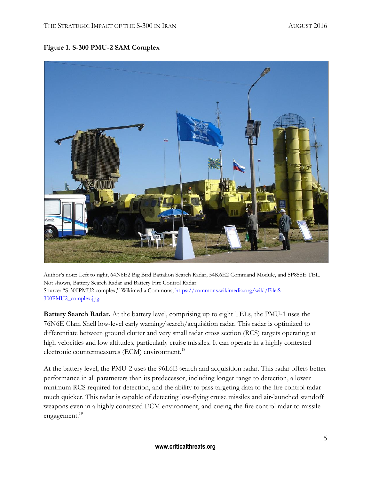#### **Figure 1. S-300 PMU-2 SAM Complex**



Author's note: Left to right, 64N6E2 Big Bird Battalion Search Radar, 54K6E2 Command Module, and 5P85SE TEL. Not shown, Battery Search Radar and Battery Fire Control Radar. Source: "S-300PMU2 complex," Wikimedia Commons, [https://commons.wikimedia.org/wiki/File:S-](https://commons.wikimedia.org/wiki/File:S-300PMU2_complex.jpg)[300PMU2\\_complex.jpg.](https://commons.wikimedia.org/wiki/File:S-300PMU2_complex.jpg)

**Battery Search Radar.** At the battery level, comprising up to eight TELs, the PMU-1 uses the 76N6E Clam Shell low-level early warning/search/acquisition radar. This radar is optimized to differentiate between ground clutter and very small radar cross section (RCS) targets operating at high velocities and low altitudes, particularly cruise missiles. It can operate in a highly contested electronic countermeasures (ECM) environment.<sup>18</sup>

At the battery level, the PMU-2 uses the 96L6E search and acquisition radar. This radar offers better performance in all parameters than its predecessor, including longer range to detection, a lower minimum RCS required for detection, and the ability to pass targeting data to the fire control radar much quicker. This radar is capable of detecting low-flying cruise missiles and air-launched standoff weapons even in a highly contested ECM environment, and cueing the fire control radar to missile engagement.<sup>19</sup>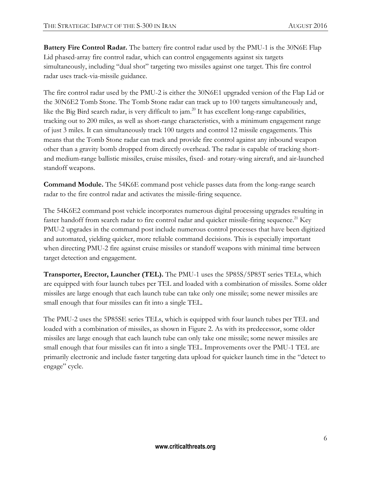**Battery Fire Control Radar.** The battery fire control radar used by the PMU-1 is the 30N6E Flap Lid phased-array fire control radar, which can control engagements against six targets simultaneously, including "dual shot" targeting two missiles against one target. This fire control radar uses track-via-missile guidance.

The fire control radar used by the PMU-2 is either the 30N6E1 upgraded version of the Flap Lid or the 30N6E2 Tomb Stone. The Tomb Stone radar can track up to 100 targets simultaneously and, like the Big Bird search radar, is very difficult to  $\alpha$ <sup>20</sup> It has excellent long-range capabilities, tracking out to 200 miles, as well as short-range characteristics, with a minimum engagement range of just 3 miles. It can simultaneously track 100 targets and control 12 missile engagements. This means that the Tomb Stone radar can track and provide fire control against any inbound weapon other than a gravity bomb dropped from directly overhead. The radar is capable of tracking shortand medium-range ballistic missiles, cruise missiles, fixed- and rotary-wing aircraft, and air-launched standoff weapons.

**Command Module.** The 54K6E command post vehicle passes data from the long-range search radar to the fire control radar and activates the missile-firing sequence.

The 54K6E2 command post vehicle incorporates numerous digital processing upgrades resulting in faster handoff from search radar to fire control radar and quicker missile-firing sequence.<sup>21</sup> Key PMU-2 upgrades in the command post include numerous control processes that have been digitized and automated, yielding quicker, more reliable command decisions. This is especially important when directing PMU-2 fire against cruise missiles or standoff weapons with minimal time between target detection and engagement.

**Transporter, Erector, Launcher (TEL).** The PMU-1 uses the 5P85S/5P85T series TELs, which are equipped with four launch tubes per TEL and loaded with a combination of missiles. Some older missiles are large enough that each launch tube can take only one missile; some newer missiles are small enough that four missiles can fit into a single TEL.

The PMU-2 uses the 5P85SE series TELs, which is equipped with four launch tubes per TEL and loaded with a combination of missiles, as shown in Figure 2. As with its predecessor, some older missiles are large enough that each launch tube can only take one missile; some newer missiles are small enough that four missiles can fit into a single TEL. Improvements over the PMU-1 TEL are primarily electronic and include faster targeting data upload for quicker launch time in the "detect to engage" cycle.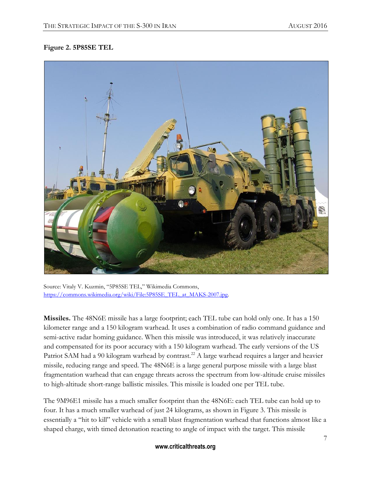#### **Figure 2. 5P85SE TEL**



Source: Vitaly V. Kuzmin, "5P85SE TEL," Wikimedia Commons, [https://commons.wikimedia.org/wiki/File:5P85SE\\_TEL\\_at\\_MAKS-2007.jpg.](https://commons.wikimedia.org/wiki/File:5P85SE_TEL_at_MAKS-2007.jpg)

**Missiles.** The 48N6E missile has a large footprint; each TEL tube can hold only one. It has a 150 kilometer range and a 150 kilogram warhead. It uses a combination of radio command guidance and semi-active radar homing guidance. When this missile was introduced, it was relatively inaccurate and compensated for its poor accuracy with a 150 kilogram warhead. The early versions of the US Patriot SAM had a 90 kilogram warhead by contrast.<sup>22</sup> A large warhead requires a larger and heavier missile, reducing range and speed. The 48N6E is a large general purpose missile with a large blast fragmentation warhead that can engage threats across the spectrum from low-altitude cruise missiles to high-altitude short-range ballistic missiles. This missile is loaded one per TEL tube.

The 9M96E1 missile has a much smaller footprint than the 48N6E: each TEL tube can hold up to four. It has a much smaller warhead of just 24 kilograms, as shown in Figure 3. This missile is essentially a "hit to kill" vehicle with a small blast fragmentation warhead that functions almost like a shaped charge, with timed detonation reacting to angle of impact with the target. This missile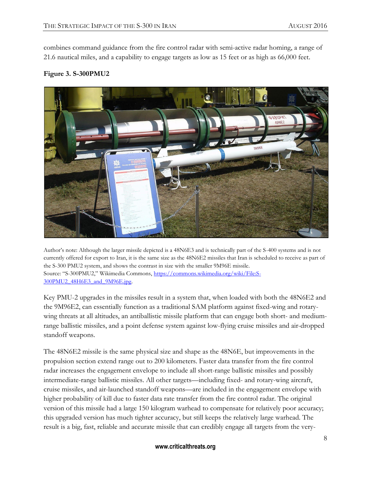combines command guidance from the fire control radar with semi-active radar homing, a range of 21.6 nautical miles, and a capability to engage targets as low as 15 feet or as high as 66,000 feet.

#### **Figure 3. S-300PMU2**



Author's note: Although the larger missile depicted is a 48N6E3 and is technically part of the S-400 systems and is not currently offered for export to Iran, it is the same size as the 48N6E2 missiles that Iran is scheduled to receive as part of the S-300 PMU2 system, and shows the contrast in size with the smaller 9M96E missile. Source: "S-300PMU2," Wikimedia Commons, [https://commons.wikimedia.org/wiki/File:S-](https://commons.wikimedia.org/wiki/File:S-300PMU2_48H6E3_and_9M96E.jpg)[300PMU2\\_48H6E3\\_and\\_9M96E.jpg.](https://commons.wikimedia.org/wiki/File:S-300PMU2_48H6E3_and_9M96E.jpg)

Key PMU-2 upgrades in the missiles result in a system that, when loaded with both the 48N6E2 and the 9M96E2, can essentially function as a traditional SAM platform against fixed-wing and rotarywing threats at all altitudes, an antiballistic missile platform that can engage both short- and mediumrange ballistic missiles, and a point defense system against low-flying cruise missiles and air-dropped standoff weapons.

The 48N6E2 missile is the same physical size and shape as the 48N6E, but improvements in the propulsion section extend range out to 200 kilometers. Faster data transfer from the fire control radar increases the engagement envelope to include all short-range ballistic missiles and possibly intermediate-range ballistic missiles. All other targets—including fixed- and rotary-wing aircraft, cruise missiles, and air-launched standoff weapons—are included in the engagement envelope with higher probability of kill due to faster data rate transfer from the fire control radar. The original version of this missile had a large 150 kilogram warhead to compensate for relatively poor accuracy; this upgraded version has much tighter accuracy, but still keeps the relatively large warhead. The result is a big, fast, reliable and accurate missile that can credibly engage all targets from the very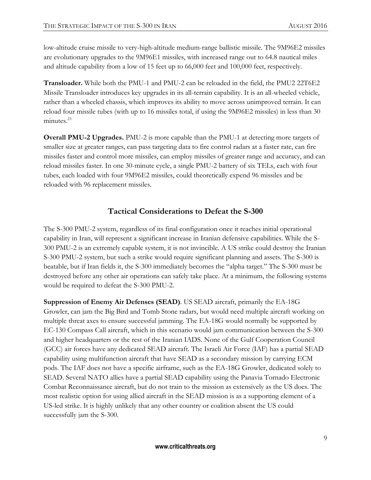low-altitude cruise missile to very-high-altitude medium-range ballistic missile. The 9M96E2 missiles are evolutionary upgrades to the 9M96E1 missiles, with increased range out to 64.8 nautical miles and altitude capability from a low of 15 feet up to 66,000 feet and 100,000 feet, respectively.

**Transloader.** While both the PMU-1 and PMU-2 can be reloaded in the field, the PMU2 22T6E2 Missile Transloader introduces key upgrades in its all-terrain capability. It is an all-wheeled vehicle, rather than a wheeled chassis, which improves its ability to move across unimproved terrain. It can reload four missile tubes (with up to 16 missiles total, if using the 9M96E2 missiles) in less than 30 minutes.<sup>23</sup>

**Overall PMU-2 Upgrades.** PMU-2 is more capable than the PMU-1 at detecting more targets of smaller size at greater ranges, can pass targeting data to fire control radars at a faster rate, can fire missiles faster and control more missiles, can employ missiles of greater range and accuracy, and can reload missiles faster. In one 30-minute cycle, a single PMU-2 battery of six TELs, each with four tubes, each loaded with four 9M96E2 missiles, could theoretically expend 96 missiles and be reloaded with 96 replacement missiles.

## **Tactical Considerations to Defeat the S-300**

The S-300 PMU-2 system, regardless of its final configuration once it reaches initial operational capability in Iran, will represent a significant increase in Iranian defensive capabilities. While the S-300 PMU-2 is an extremely capable system, it is not invincible. A US strike could destroy the Iranian S-300 PMU-2 system, but such a strike would require significant planning and assets. The S-300 is beatable, but if Iran fields it, the S-300 immediately becomes the "alpha target." The S-300 must be destroyed before any other air operations can safely take place. At a minimum, the following systems would be required to defeat the S-300 PMU-2.

**Suppression of Enemy Air Defenses (SEAD)**. US SEAD aircraft, primarily the EA-18G Growler, can jam the Big Bird and Tomb Stone radars, but would need multiple aircraft working on multiple threat axes to ensure successful jamming. The EA-18G would normally be supported by EC-130 Compass Call aircraft, which in this scenario would jam communication between the S-300 and higher headquarters or the rest of the Iranian IADS. None of the Gulf Cooperation Council (GCC) air forces have any dedicated SEAD aircraft. The Israeli Air Force (IAF) has a partial SEAD capability using multifunction aircraft that have SEAD as a secondary mission by carrying ECM pods. The IAF does not have a specific airframe, such as the EA-18G Growler, dedicated solely to SEAD. Several NATO allies have a partial SEAD capability using the Panavia Tornado Electronic Combat Reconnaissance aircraft, but do not train to the mission as extensively as the US does. The most realistic option for using allied aircraft in the SEAD mission is as a supporting element of a US-led strike. It is highly unlikely that any other country or coalition absent the US could successfully jam the S-300.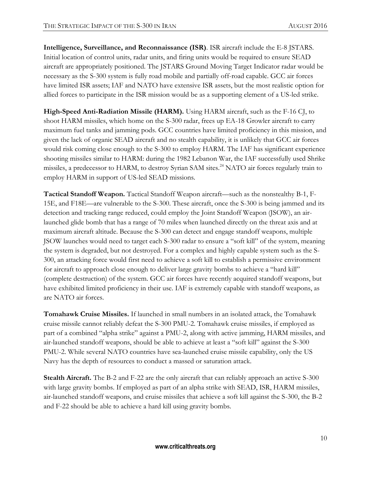**Intelligence, Surveillance, and Reconnaissance (ISR)**. ISR aircraft include the E-8 JSTARS. Initial location of control units, radar units, and firing units would be required to ensure SEAD aircraft are appropriately positioned. The JSTARS Ground Moving Target Indicator radar would be necessary as the S-300 system is fully road mobile and partially off-road capable. GCC air forces have limited ISR assets; IAF and NATO have extensive ISR assets, but the most realistic option for allied forces to participate in the ISR mission would be as a supporting element of a US-led strike.

**High-Speed Anti-Radiation Missile (HARM).** Using HARM aircraft, such as the F-16 CJ, to shoot HARM missiles, which home on the S-300 radar, frees up EA-18 Growler aircraft to carry maximum fuel tanks and jamming pods. GCC countries have limited proficiency in this mission, and given the lack of organic SEAD aircraft and no stealth capability, it is unlikely that GCC air forces would risk coming close enough to the S-300 to employ HARM. The IAF has significant experience shooting missiles similar to HARM: during the 1982 Lebanon War, the IAF successfully used Shrike missiles, a predecessor to HARM, to destroy Syrian SAM sites.<sup>24</sup> NATO air forces regularly train to employ HARM in support of US-led SEAD missions.

**Tactical Standoff Weapon.** Tactical Standoff Weapon aircraft—such as the nonstealthy B-1, F-15E, and F18E—are vulnerable to the S-300. These aircraft, once the S-300 is being jammed and its detection and tracking range reduced, could employ the Joint Standoff Weapon (JSOW), an airlaunched glide bomb that has a range of 70 miles when launched directly on the threat axis and at maximum aircraft altitude. Because the S-300 can detect and engage standoff weapons, multiple JSOW launches would need to target each S-300 radar to ensure a "soft kill" of the system, meaning the system is degraded, but not destroyed. For a complex and highly capable system such as the S-300, an attacking force would first need to achieve a soft kill to establish a permissive environment for aircraft to approach close enough to deliver large gravity bombs to achieve a "hard kill" (complete destruction) of the system. GCC air forces have recently acquired standoff weapons, but have exhibited limited proficiency in their use. IAF is extremely capable with standoff weapons, as are NATO air forces.

**Tomahawk Cruise Missiles.** If launched in small numbers in an isolated attack, the Tomahawk cruise missile cannot reliably defeat the S-300 PMU-2. Tomahawk cruise missiles, if employed as part of a combined "alpha strike" against a PMU-2, along with active jamming, HARM missiles, and air-launched standoff weapons, should be able to achieve at least a "soft kill" against the S-300 PMU-2. While several NATO countries have sea-launched cruise missile capability, only the US Navy has the depth of resources to conduct a massed or saturation attack.

**Stealth Aircraft.** The B-2 and F-22 are the only aircraft that can reliably approach an active S-300 with large gravity bombs. If employed as part of an alpha strike with SEAD, ISR, HARM missiles, air-launched standoff weapons, and cruise missiles that achieve a soft kill against the S-300, the B-2 and F-22 should be able to achieve a hard kill using gravity bombs.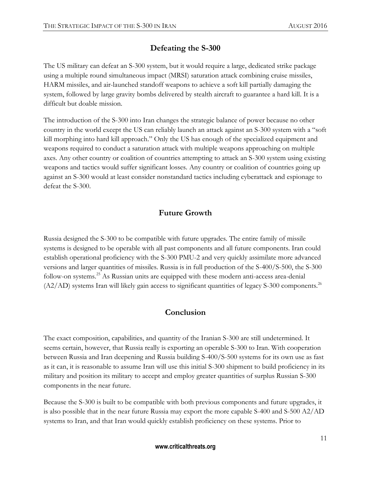# **Defeating the S-300**

The US military can defeat an S-300 system, but it would require a large, dedicated strike package using a multiple round simultaneous impact (MRSI) saturation attack combining cruise missiles, HARM missiles, and air-launched standoff weapons to achieve a soft kill partially damaging the system, followed by large gravity bombs delivered by stealth aircraft to guarantee a hard kill. It is a difficult but doable mission.

The introduction of the S-300 into Iran changes the strategic balance of power because no other country in the world except the US can reliably launch an attack against an S-300 system with a "soft kill morphing into hard kill approach." Only the US has enough of the specialized equipment and weapons required to conduct a saturation attack with multiple weapons approaching on multiple axes. Any other country or coalition of countries attempting to attack an S-300 system using existing weapons and tactics would suffer significant losses. Any country or coalition of countries going up against an S-300 would at least consider nonstandard tactics including cyberattack and espionage to defeat the S-300.

# **Future Growth**

Russia designed the S-300 to be compatible with future upgrades. The entire family of missile systems is designed to be operable with all past components and all future components. Iran could establish operational proficiency with the S-300 PMU-2 and very quickly assimilate more advanced versions and larger quantities of missiles. Russia is in full production of the S-400/S-500, the S-300 follow-on systems.<sup>25</sup> As Russian units are equipped with these modern anti-access area-denial  $(A2/AD)$  systems Iran will likely gain access to significant quantities of legacy S-300 components.<sup>26</sup>

# **Conclusion**

The exact composition, capabilities, and quantity of the Iranian S-300 are still undetermined. It seems certain, however, that Russia really is exporting an operable S-300 to Iran. With cooperation between Russia and Iran deepening and Russia building S-400/S-500 systems for its own use as fast as it can, it is reasonable to assume Iran will use this initial S-300 shipment to build proficiency in its military and position its military to accept and employ greater quantities of surplus Russian S-300 components in the near future.

Because the S-300 is built to be compatible with both previous components and future upgrades, it is also possible that in the near future Russia may export the more capable S-400 and S-500 A2/AD systems to Iran, and that Iran would quickly establish proficiency on these systems. Prior to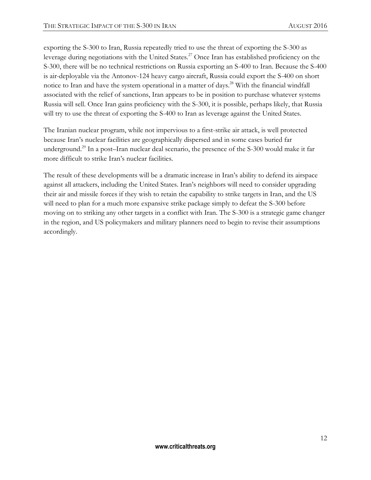exporting the S-300 to Iran, Russia repeatedly tried to use the threat of exporting the S-300 as leverage during negotiations with the United States.<sup>27</sup> Once Iran has established proficiency on the S-300, there will be no technical restrictions on Russia exporting an S-400 to Iran. Because the S-400 is air-deployable via the Antonov-124 heavy cargo aircraft, Russia could export the S-400 on short notice to Iran and have the system operational in a matter of days.<sup>28</sup> With the financial windfall associated with the relief of sanctions, Iran appears to be in position to purchase whatever systems Russia will sell. Once Iran gains proficiency with the S-300, it is possible, perhaps likely, that Russia will try to use the threat of exporting the S-400 to Iran as leverage against the United States.

The Iranian nuclear program, while not impervious to a first-strike air attack, is well protected because Iran's nuclear facilities are geographically dispersed and in some cases buried far underground.<sup>29</sup> In a post–Iran nuclear deal scenario, the presence of the S-300 would make it far more difficult to strike Iran's nuclear facilities.

The result of these developments will be a dramatic increase in Iran's ability to defend its airspace against all attackers, including the United States. Iran's neighbors will need to consider upgrading their air and missile forces if they wish to retain the capability to strike targets in Iran, and the US will need to plan for a much more expansive strike package simply to defeat the S-300 before moving on to striking any other targets in a conflict with Iran. The S-300 is a strategic game changer in the region, and US policymakers and military planners need to begin to revise their assumptions accordingly.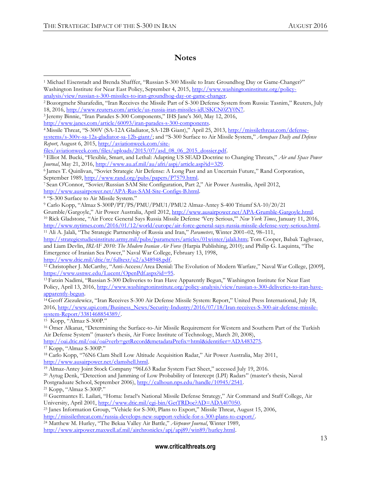#### **Notes**

<sup>9</sup> Carlo Kopp, "Almaz S-300P/PT/PS/PMU/PMU1/PMU2 Almaz-Antey S-400 Triumf SA-10/20/21

Grumble/Gargoyle," Air Power Australia, April 2012[, http://www.ausairpower.net/APA-Grumble-Gargoyle.html.](http://www.ausairpower.net/APA-Grumble-Gargoyle.html) <sup>10</sup> Rick Gladstone, "Air Force General Says Russia Missile Defense 'Very Serious,'" *New York Times*, January 11, 2016, [http://www.nytimes.com/2016/01/12/world/europe/air-force-general-says-russia-missile-defense-very-serious.html.](http://www.nytimes.com/2016/01/12/world/europe/air-force-general-says-russia-missile-defense-very-serious.html) <sup>11</sup> Ali A. Jalali, "The Strategic Partnership of Russia and Iran," *Parameters*, Winter 2001–02, 98–111,

[http://strategicstudiesinstitute.army.mil/pubs/parameters/articles/01winter/jalali.htm;](http://strategicstudiesinstitute.army.mil/pubs/parameters/articles/01winter/jalali.htm) Tom Cooper, Babak Taghvaee, and Liam Devlin, *IRIAF 2010: The Modern Iranian Air Force* (Harpia Publishing, 2010); and Philip G. Laquinta, "The Emergence of Iranian Sea Power," Naval War College, February 13, 1998, [http://www.dtic.mil/dtic/tr/fulltext/u2/a348948.pdf.](http://www.dtic.mil/dtic/tr/fulltext/u2/a348948.pdf)

<sup>12</sup> Christopher J. McCarthy, "Anti-Access/Area Denial: The Evolution of Modern Warfare," Naval War College, [2009], [https://www.usnwc.edu/Lucent/OpenPdf.aspx?id=95.](https://www.usnwc.edu/Lucent/OpenPdf.aspx?id=95)

<sup>13</sup> Farzin Nadimi, "Russian S-300 Deliveries to Iran Have Apparently Begun," Washington Institute for Near East Policy, April 13, 2016, [http://www.washingtoninstitute.org/policy-analysis/view/russian-s-300-deliveries-to-iran-have](http://www.washingtoninstitute.org/policy-analysis/view/russian-s-300-deliveries-to-iran-have-apparently-begun)[apparently-begun.](http://www.washingtoninstitute.org/policy-analysis/view/russian-s-300-deliveries-to-iran-have-apparently-begun)

<sup>14</sup> Geoff Ziezulewicz, "Iran Receives S-300 Air Defense Missile System: Report," United Press International, July 18, 2016, [http://www.upi.com/Business\\_News/Security-Industry/2016/07/18/Iran-receives-S-300-air-defense-missile](http://www.upi.com/Business_News/Security-Industry/2016/07/18/Iran-receives-S-300-air-defense-missile-system-Report/3381468854389/)[system-Report/3381468854389/.](http://www.upi.com/Business_News/Security-Industry/2016/07/18/Iran-receives-S-300-air-defense-missile-system-Report/3381468854389/)

 $15$  Kopp, "Almaz S-300P."

<sup>16</sup> Ömer Alkanat, "Determining the Surface-to-Air Missile Requirement for Western and Southern Part of the Turkish Air Defense System" (master's thesis, Air Force Institute of Technology, March 20, 2008),

[http://oai.dtic.mil/oai/oai?verb=getRecord&metadataPrefix=html&identifier=ADA483275.](http://oai.dtic.mil/oai/oai?verb=getRecord&metadataPrefix=html&identifier=ADA483275) <sup>17</sup> Kopp, "Almaz S-300P."

<sup>19</sup> Almaz-Antey Joint Stock Company "96L63 Radar System Fact Sheet," accessed July 19, 2016.

<sup>20</sup> Aytug Denk, "Detection and Jamming of Low Probability of Intercept (LPI) Radars" (master's thesis, Naval Postgraduate School, September 2006), [http://calhoun.nps.edu/handle/10945/2541.](http://calhoun.nps.edu/handle/10945/2541) 

<sup>21</sup> Kopp, "Almaz S-300P."

<sup>22</sup> Guermantes E. Lailari, "Homa: Israel's National Missile Defense Strategy," Air Command and Staff College, Air University, April 2001, [http://www.dtic.mil/cgi-bin/GetTRDoc?AD=ADA407050.](http://www.dtic.mil/cgi-bin/GetTRDoc?AD=ADA407050)

<sup>23</sup> Janes Information Group, "Vehicle for S-300, Plans to Export," Missile Threat, August 15, 2006,

[http://missilethreat.com/russia-develops-new-support-vehicle-for-s-300-plans-to-export/.](http://missilethreat.com/russia-develops-new-support-vehicle-for-s-300-plans-to-export/)

<sup>24</sup> Matthew M. Hurley, "The Bekaa Valley Air Battle," *Airpower Journal*, Winter 1989,

[http://www.airpower.maxwell.af.mil/airchronicles/apj/apj89/win89/hurley.html.](http://www.airpower.maxwell.af.mil/airchronicles/apj/apj89/win89/hurley.html)

 $\overline{\phantom{a}}$ <sup>1</sup> Michael Eisenstadt and Brenda Shafffer, "Russian S-300 Missile to Iran: Groundhog Day or Game-Changer?" Washington Institute for Near East Policy, September 4, 2015, [http://www.washingtoninstitute.org/policy](http://www.washingtoninstitute.org/policy-analysis/view/russian-s-300-missiles-to-iran-groundhog-day-or-game-changer)[analysis/view/russian-s-300-missiles-to-iran-groundhog-day-or-game-changer.](http://www.washingtoninstitute.org/policy-analysis/view/russian-s-300-missiles-to-iran-groundhog-day-or-game-changer)

<sup>2</sup> Bozorgmehr Sharafedin, "Iran Receives the Missile Part of S-300 Defense System from Russia: Tasnim," Reuters, July 18, 2016, [http://www.reuters.com/article/us-russia-iran-missiles-idUSKCN0ZY0N7.](http://www.reuters.com/article/us-russia-iran-missiles-idUSKCN0ZY0N7)

<sup>3</sup> Jeremy Binnie, "Iran Parades S-300 Components," IHS Jane's 360, May 12, 2016,

[http://www.janes.com/article/60093/iran-parades-s-300-components.](http://www.janes.com/article/60093/iran-parades-s-300-components)

<sup>4</sup> Missile Threat, "S-300V (SA-12A Gladiator, SA-12B Giant)," April 25, 2013, [http://missilethreat.com/defense](http://missilethreat.com/defense-systems/s-300v-sa-12a-gladiator-sa-12b-giant/)[systems/s-300v-sa-12a-gladiator-sa-12b-giant/](http://missilethreat.com/defense-systems/s-300v-sa-12a-gladiator-sa-12b-giant/); and "S-300 Surface to Air Missile System," *Aerospace Daily and Defense Report*, August 6, 2015, [http://aviationweek.com/site-](http://aviationweek.com/site-files/aviationweek.com/files/uploads/2015/07/asd_08_06_2015_dossier.pdf)

[files/aviationweek.com/files/uploads/2015/07/asd\\_08\\_06\\_2015\\_dossier.pdf.](http://aviationweek.com/site-files/aviationweek.com/files/uploads/2015/07/asd_08_06_2015_dossier.pdf)

<sup>5</sup> Elliot M. Bucki, "Flexible, Smart, and Lethal: Adapting US SEAD Doctrine to Changing Threats," *Air and Space Power Journal*, May 21, 2016, [http://www.au.af.mil/au/afri/aspj/article.asp?id=329.](http://www.au.af.mil/au/afri/aspj/article.asp?id=329)

<sup>6</sup> James T. Quinlivan, "Soviet Strategic Air Defense: A Long Past and an Uncertain Future," Rand Corporation, September 1989, [http://www.rand.org/pubs/papers/P7579.html.](http://www.rand.org/pubs/papers/P7579.html)

<sup>7</sup> Sean O'Connor, "Soviet/Russian SAM Site Configuration, Part 2," Air Power Australia, April 2012, [http://www.ausairpower.net/APA-Rus-SAM-Site-Configs-B.html.](http://www.ausairpower.net/APA-Rus-SAM-Site-Configs-B.html)

<sup>8</sup> "S-300 Surface to Air Missile System."

<sup>18</sup> Carlo Kopp, "76N6 Clam Shell Low Altitude Acquisition Radar," Air Power Australia, May 2011, [http://www.ausairpower.net/clamshell.html.](http://www.ausairpower.net/clamshell.html)